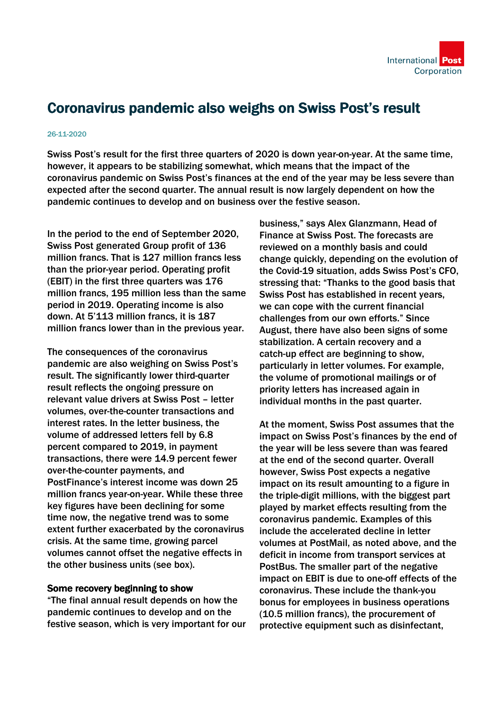

## Coronavirus pandemic also weighs on Swiss Post's result

## 26-11-2020

Swiss Post's result for the first three quarters of 2020 is down year-on-year. At the same time, however, it appears to be stabilizing somewhat, which means that the impact of the coronavirus pandemic on Swiss Post's finances at the end of the year may be less severe than expected after the second quarter. The annual result is now largely dependent on how the pandemic continues to develop and on business over the festive season.

In the period to the end of September 2020, Swiss Post generated Group profit of 136 million francs. That is 127 million francs less than the prior-year period. Operating profit (EBIT) in the first three quarters was 176 million francs, 195 million less than the same period in 2019. Operating income is also down. At 5'113 million francs, it is 187 million francs lower than in the previous year.

The consequences of the coronavirus pandemic are also weighing on Swiss Post's result. The significantly lower third-quarter result reflects the ongoing pressure on relevant value drivers at Swiss Post – letter volumes, over-the-counter transactions and interest rates. In the letter business, the volume of addressed letters fell by 6.8 percent compared to 2019, in payment transactions, there were 14.9 percent fewer over-the-counter payments, and PostFinance's interest income was down 25 million francs year-on-year. While these three key figures have been declining for some time now, the negative trend was to some extent further exacerbated by the coronavirus crisis. At the same time, growing parcel volumes cannot offset the negative effects in the other business units (see box).

## Some recovery beginning to show

"The final annual result depends on how the pandemic continues to develop and on the festive season, which is very important for our business," says Alex Glanzmann, Head of Finance at Swiss Post. The forecasts are reviewed on a monthly basis and could change quickly, depending on the evolution of the Covid-19 situation, adds Swiss Post's CFO, stressing that: "Thanks to the good basis that Swiss Post has established in recent years, we can cope with the current financial challenges from our own efforts." Since August, there have also been signs of some stabilization. A certain recovery and a catch-up effect are beginning to show, particularly in letter volumes. For example, the volume of promotional mailings or of priority letters has increased again in individual months in the past quarter.

At the moment, Swiss Post assumes that the impact on Swiss Post's finances by the end of the year will be less severe than was feared at the end of the second quarter. Overall however, Swiss Post expects a negative impact on its result amounting to a figure in the triple-digit millions, with the biggest part played by market effects resulting from the coronavirus pandemic. Examples of this include the accelerated decline in letter volumes at PostMail, as noted above, and the deficit in income from transport services at PostBus. The smaller part of the negative impact on EBIT is due to one-off effects of the coronavirus. These include the thank-you bonus for employees in business operations (10.5 million francs), the procurement of protective equipment such as disinfectant,